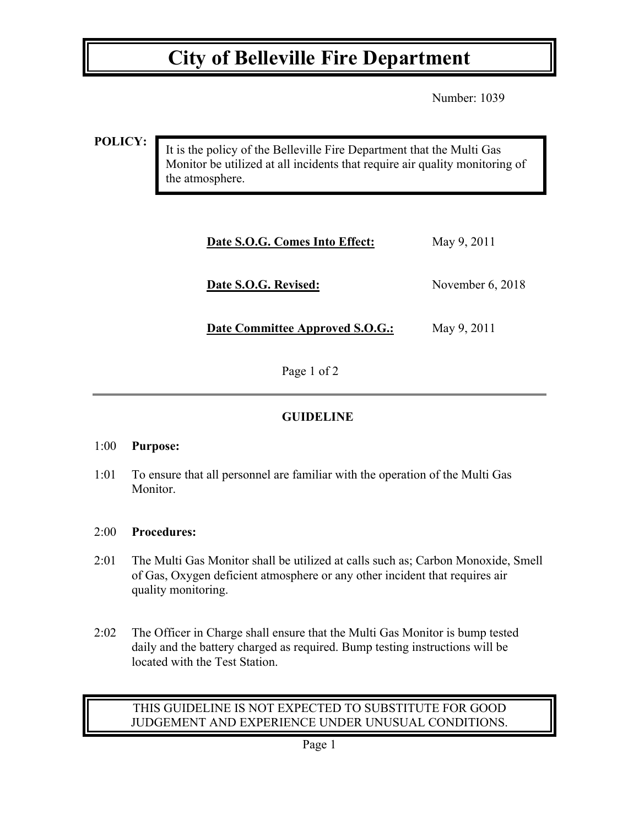## **City of Belleville Fire Department**

Number: 1039

**POLICY:**

It is the policy of the Belleville Fire Department that the Multi Gas Monitor be utilized at all incidents that require air quality monitoring of the atmosphere.

| Date S.O.G. Comes Into Effect:  | May 9, 2011        |
|---------------------------------|--------------------|
| Date S.O.G. Revised:            | November $6, 2018$ |
| Date Committee Approved S.O.G.: | May 9, 2011        |

Page 1 of 2

### **GUIDELINE**

#### 1:00 **Purpose:**

1:01 To ensure that all personnel are familiar with the operation of the Multi Gas Monitor.

### 2:00 **Procedures:**

- 2:01 The Multi Gas Monitor shall be utilized at calls such as; Carbon Monoxide, Smell of Gas, Oxygen deficient atmosphere or any other incident that requires air quality monitoring.
- 2:02 The Officer in Charge shall ensure that the Multi Gas Monitor is bump tested daily and the battery charged as required. Bump testing instructions will be located with the Test Station.

#### THIS GUIDELINE IS NOT EXPECTED TO SUBSTITUTE FOR GOOD JUDGEMENT AND EXPERIENCE UNDER UNUSUAL CONDITIONS.